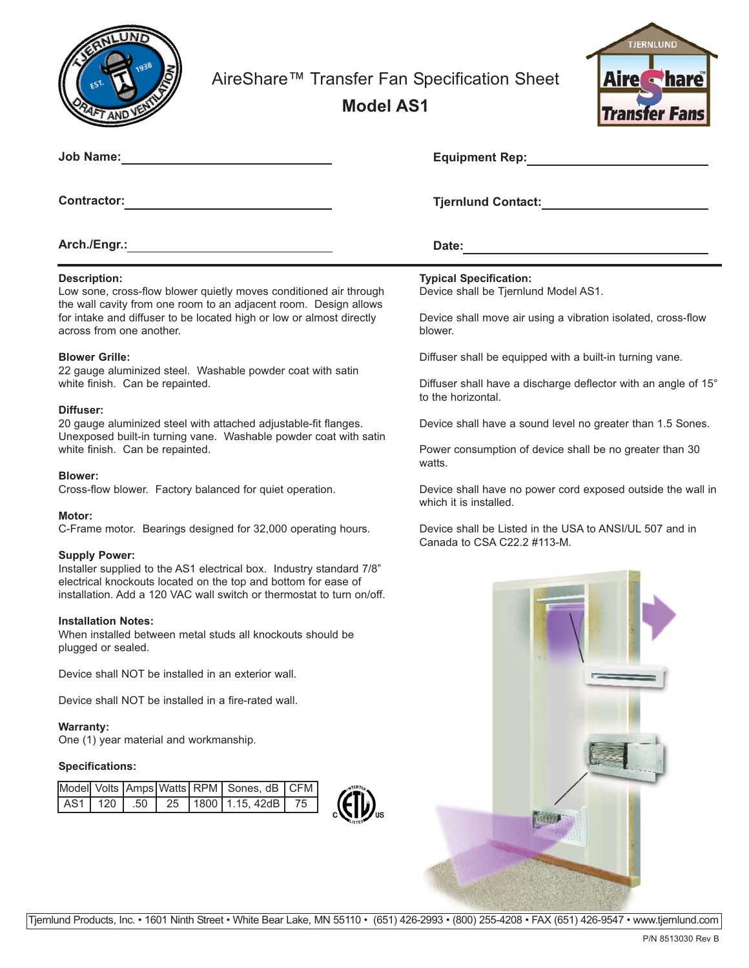

AireShare™ Transfer Fan Specification Sheet

**Model AS1** 



| <b>Job Name:</b>                                                                                                                                             | <b>Equipment Rep:</b><br><b>Tjernlund Contact:</b>                                   |  |  |
|--------------------------------------------------------------------------------------------------------------------------------------------------------------|--------------------------------------------------------------------------------------|--|--|
| <b>Contractor:</b>                                                                                                                                           |                                                                                      |  |  |
| Arch./Engr.:                                                                                                                                                 | Date:                                                                                |  |  |
| <b>Description:</b><br>Low sone, cross-flow blower quietly moves conditioned air through<br>the wall cavity from one room to an adjacent room. Design allows | <b>Typical Specification:</b><br>Device shall be Tjernlund Model AS1.                |  |  |
| for intake and diffuser to be located high or low or almost directly<br>across from one another.                                                             | Device shall move air using a vibration isolated, cross-flow<br>blower.              |  |  |
| <b>Blower Grille:</b>                                                                                                                                        | Diffuser shall be equipped with a built-in turning vane.                             |  |  |
| 22 gauge aluminized steel. Washable powder coat with satin<br>white finish. Can be repainted.                                                                | Diffuser shall have a discharge deflector with an angle of 15°<br>to the horizontal. |  |  |
| Diffuser:                                                                                                                                                    |                                                                                      |  |  |
| 20 gauge aluminized steel with attached adjustable-fit flanges.                                                                                              | Device shall have a sound level no greater than 1.5 Sones.                           |  |  |
| Unexposed built-in turning vane. Washable powder coat with satin<br>white finish. Can be repainted.                                                          | Power consumption of device shall be no greater than 30<br>watts.                    |  |  |
| <b>Blower:</b>                                                                                                                                               |                                                                                      |  |  |

Cross-flow blower. Factory balanced for quiet operation.

### **Motor:**

C-Frame motor. Bearings designed for 32,000 operating hours.

### **Supply Power:**

Installer supplied to the AS1 electrical box. Industry standard 7/8" electrical knockouts located on the top and bottom for ease of installation. Add a 120 VAC wall switch or thermostat to turn on/off.

#### **Installation Notes:**

When installed between metal studs all knockouts should be plugged or sealed.

Device shall NOT be installed in an exterior wall.

Device shall NOT be installed in a fire-rated wall.

### **Warranty:**

One (1) year material and workmanship.

### **Specifications:**

|  |  | Model Volts Amps Watts RPM Sones, dB   CFM |               |
|--|--|--------------------------------------------|---------------|
|  |  | AS1 120 50 25 1800 1.15, 42dB 75           | $\widehat{f}$ |

Device shall be Listed in the USA to ANSI/UL 507 and in Canada to CSA C22.2 #113-M.

which it is installed.

Device shall have no power cord exposed outside the wall in



Tjernlund Products, Inc. • 1601 Ninth Street • White Bear Lake, MN 55110 • (651) 426-2993 • (800) 255-4208 • FAX (651) 426-9547 • www.tjernlund.com